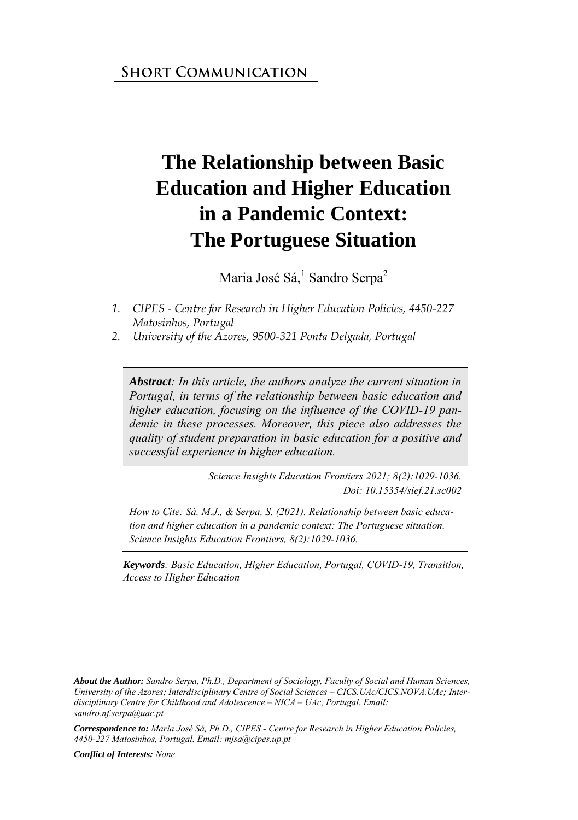#### **SHORT COMMUNICATION**

# **The Relationship between Basic Education and Higher Education in a Pandemic Context: The Portuguese Situation**

Maria José Sá,<sup>1</sup> Sandro Serpa<sup>2</sup>

- *1. CIPES Centre for Research in Higher Education Policies, 4450-227 Matosinhos, Portugal*
- *2. University of the Azores, 9500-321 Ponta Delgada, Portugal*

*Abstract: In this article, the authors analyze the current situation in Portugal, in terms of the relationship between basic education and higher education, focusing on the influence of the COVID-19 pandemic in these processes. Moreover, this piece also addresses the quality of student preparation in basic education for a positive and successful experience in higher education.*

> *Science Insights Education Frontiers 2021; 8(2):1029-1036. Doi: 10.15354/sief.21.sc002*

*How to Cite: Sá, M.J., & Serpa, S. (2021). Relationship between basic education and higher education in a pandemic context: The Portuguese situation. Science Insights Education Frontiers, 8(2):1029-1036.*

*Keywords: Basic Education, Higher Education, Portugal, COVID-19, Transition, Access to Higher Education* 

*Conflict of Interests: None.* 

*About the Author: Sandro Serpa, Ph.D., Department of Sociology, Faculty of Social and Human Sciences, University of the Azores; Interdisciplinary Centre of Social Sciences – CICS.UAc/CICS.NOVA.UAc; Interdisciplinary Centre for Childhood and Adolescence – NICA – UAc, Portugal. Email: sandro.nf.serpa@uac.pt* 

*Correspondence to: Maria José Sá, Ph.D., CIPES - Centre for Research in Higher Education Policies, 4450-227 Matosinhos, Portugal. Email: mjsa@cipes.up.pt*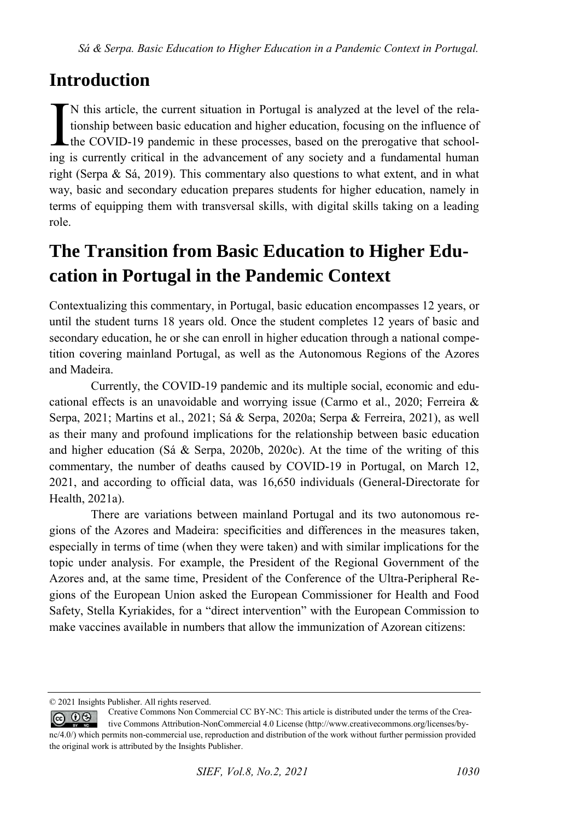### **Introduction**

N this article, the current situation in Portugal is analyzed at the level of the relationship between basic education and higher education, focusing on the influence of  $\text{\textsterling}$  the COVID-19 pandemic in these processes, based on the prerogative that school-IN this article, the current situation in Portugal is analyzed at the level of the relationship between basic education and higher education, focusing on the influence of the COVID-19 pandemic in these processes, based on right (Serpa & Sá, 2019). This commentary also questions to what extent, and in what way, basic and secondary education prepares students for higher education, namely in terms of equipping them with transversal skills, with digital skills taking on a leading role.

## **The Transition from Basic Education to Higher Education in Portugal in the Pandemic Context**

Contextualizing this commentary, in Portugal, basic education encompasses 12 years, or until the student turns 18 years old. Once the student completes 12 years of basic and secondary education, he or she can enroll in higher education through a national competition covering mainland Portugal, as well as the Autonomous Regions of the Azores and Madeira.

Currently, the COVID-19 pandemic and its multiple social, economic and educational effects is an unavoidable and worrying issue (Carmo et al., 2020; Ferreira & Serpa, 2021; Martins et al., 2021; Sá & Serpa, 2020a; Serpa & Ferreira, 2021), as well as their many and profound implications for the relationship between basic education and higher education (Sá & Serpa, 2020b, 2020c). At the time of the writing of this commentary, the number of deaths caused by COVID-19 in Portugal, on March 12, 2021, and according to official data, was 16,650 individuals (General-Directorate for Health, 2021a).

There are variations between mainland Portugal and its two autonomous regions of the Azores and Madeira: specificities and differences in the measures taken, especially in terms of time (when they were taken) and with similar implications for the topic under analysis. For example, the President of the Regional Government of the Azores and, at the same time, President of the Conference of the Ultra-Peripheral Regions of the European Union asked the European Commissioner for Health and Food Safety, Stella Kyriakides, for a "direct intervention" with the European Commission to make vaccines available in numbers that allow the immunization of Azorean citizens:

<sup>© 2021</sup> Insights Publisher. All rights reserved.

Creative Commons Non Commercial CC BY-NC: This article is distributed under the terms of the Crea- $\circledcirc$   $\circledcirc$ tive Commons Attribution-NonCommercial 4.0 License (http://www.creativecommons.org/licenses/bync/4.0/) which permits non-commercial use, reproduction and distribution of the work without further permission provided the original work is attributed by the Insights Publisher.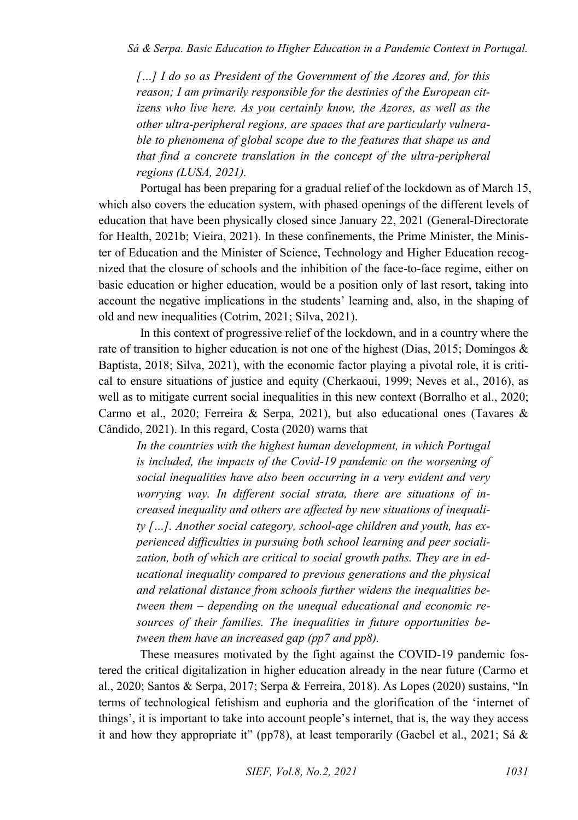*[…] I do so as President of the Government of the Azores and, for this reason; I am primarily responsible for the destinies of the European citizens who live here. As you certainly know, the Azores, as well as the other ultra-peripheral regions, are spaces that are particularly vulnerable to phenomena of global scope due to the features that shape us and that find a concrete translation in the concept of the ultra-peripheral regions (LUSA, 2021).* 

Portugal has been preparing for a gradual relief of the lockdown as of March 15, which also covers the education system, with phased openings of the different levels of education that have been physically closed since January 22, 2021 (General-Directorate for Health, 2021b; Vieira, 2021). In these confinements, the Prime Minister, the Minister of Education and the Minister of Science, Technology and Higher Education recognized that the closure of schools and the inhibition of the face-to-face regime, either on basic education or higher education, would be a position only of last resort, taking into account the negative implications in the students' learning and, also, in the shaping of old and new inequalities (Cotrim, 2021; Silva, 2021).

In this context of progressive relief of the lockdown, and in a country where the rate of transition to higher education is not one of the highest (Dias, 2015; Domingos & Baptista, 2018; Silva, 2021), with the economic factor playing a pivotal role, it is critical to ensure situations of justice and equity (Cherkaoui, 1999; Neves et al., 2016), as well as to mitigate current social inequalities in this new context (Borralho et al., 2020; Carmo et al., 2020; Ferreira & Serpa, 2021), but also educational ones (Tavares & Cândido, 2021). In this regard, Costa (2020) warns that

*In the countries with the highest human development, in which Portugal is included, the impacts of the Covid-19 pandemic on the worsening of social inequalities have also been occurring in a very evident and very worrying way. In different social strata, there are situations of increased inequality and others are affected by new situations of inequality […]. Another social category, school-age children and youth, has experienced difficulties in pursuing both school learning and peer socialization, both of which are critical to social growth paths. They are in educational inequality compared to previous generations and the physical and relational distance from schools further widens the inequalities between them – depending on the unequal educational and economic resources of their families. The inequalities in future opportunities between them have an increased gap (pp7 and pp8).* 

These measures motivated by the fight against the COVID-19 pandemic fostered the critical digitalization in higher education already in the near future (Carmo et al., 2020; Santos & Serpa, 2017; Serpa & Ferreira, 2018). As Lopes (2020) sustains, "In terms of technological fetishism and euphoria and the glorification of the 'internet of things', it is important to take into account people's internet, that is, the way they access it and how they appropriate it" (pp78), at least temporarily (Gaebel et al., 2021; Sá  $\&$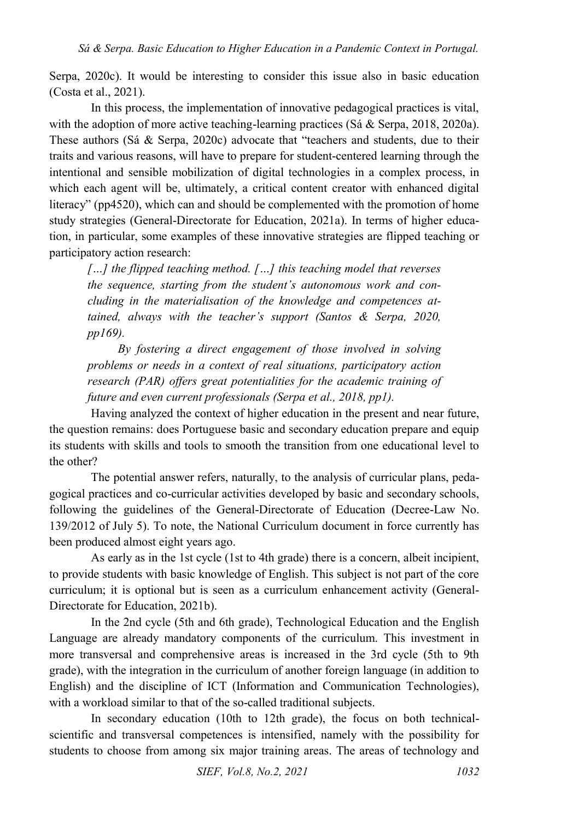Serpa, 2020c). It would be interesting to consider this issue also in basic education (Costa et al., 2021).

In this process, the implementation of innovative pedagogical practices is vital, with the adoption of more active teaching-learning practices (Sá & Serpa, 2018, 2020a). These authors (Sá & Serpa, 2020c) advocate that "teachers and students, due to their traits and various reasons, will have to prepare for student-centered learning through the intentional and sensible mobilization of digital technologies in a complex process, in which each agent will be, ultimately, a critical content creator with enhanced digital literacy" (pp4520), which can and should be complemented with the promotion of home study strategies (General-Directorate for Education, 2021a). In terms of higher education, in particular, some examples of these innovative strategies are flipped teaching or participatory action research:

*[…] the flipped teaching method. […] this teaching model that reverses the sequence, starting from the student's autonomous work and concluding in the materialisation of the knowledge and competences attained, always with the teacher's support (Santos & Serpa, 2020, pp169).*

*By fostering a direct engagement of those involved in solving problems or needs in a context of real situations, participatory action research (PAR) offers great potentialities for the academic training of future and even current professionals (Serpa et al., 2018, pp1).* 

Having analyzed the context of higher education in the present and near future, the question remains: does Portuguese basic and secondary education prepare and equip its students with skills and tools to smooth the transition from one educational level to the other?

The potential answer refers, naturally, to the analysis of curricular plans, pedagogical practices and co-curricular activities developed by basic and secondary schools, following the guidelines of the General-Directorate of Education (Decree-Law No. 139/2012 of July 5). To note, the National Curriculum document in force currently has been produced almost eight years ago.

As early as in the 1st cycle (1st to 4th grade) there is a concern, albeit incipient, to provide students with basic knowledge of English. This subject is not part of the core curriculum; it is optional but is seen as a curriculum enhancement activity (General-Directorate for Education, 2021b).

In the 2nd cycle (5th and 6th grade), Technological Education and the English Language are already mandatory components of the curriculum. This investment in more transversal and comprehensive areas is increased in the 3rd cycle (5th to 9th grade), with the integration in the curriculum of another foreign language (in addition to English) and the discipline of ICT (Information and Communication Technologies), with a workload similar to that of the so-called traditional subjects.

In secondary education (10th to 12th grade), the focus on both technicalscientific and transversal competences is intensified, namely with the possibility for students to choose from among six major training areas. The areas of technology and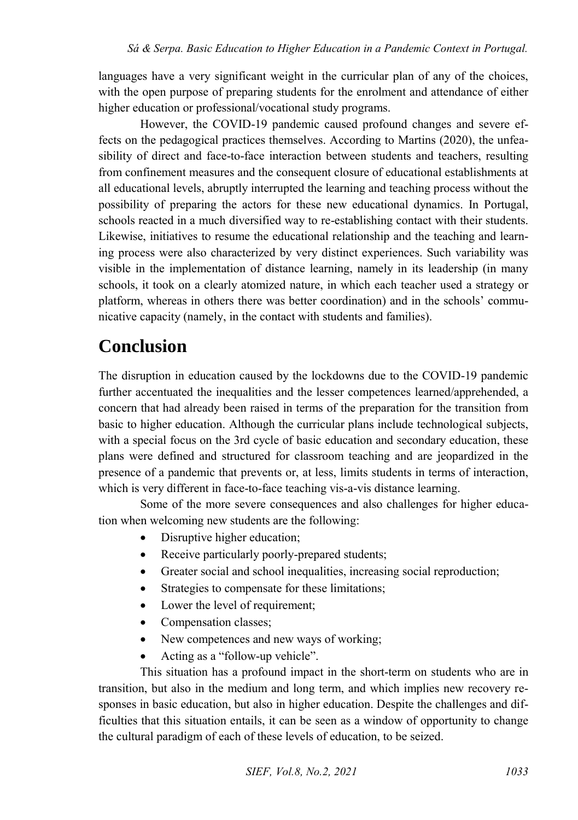languages have a very significant weight in the curricular plan of any of the choices, with the open purpose of preparing students for the enrolment and attendance of either higher education or professional/vocational study programs.

However, the COVID-19 pandemic caused profound changes and severe effects on the pedagogical practices themselves. According to Martins (2020), the unfeasibility of direct and face-to-face interaction between students and teachers, resulting from confinement measures and the consequent closure of educational establishments at all educational levels, abruptly interrupted the learning and teaching process without the possibility of preparing the actors for these new educational dynamics. In Portugal, schools reacted in a much diversified way to re-establishing contact with their students. Likewise, initiatives to resume the educational relationship and the teaching and learning process were also characterized by very distinct experiences. Such variability was visible in the implementation of distance learning, namely in its leadership (in many schools, it took on a clearly atomized nature, in which each teacher used a strategy or platform, whereas in others there was better coordination) and in the schools' communicative capacity (namely, in the contact with students and families).

### **Conclusion**

The disruption in education caused by the lockdowns due to the COVID-19 pandemic further accentuated the inequalities and the lesser competences learned/apprehended, a concern that had already been raised in terms of the preparation for the transition from basic to higher education. Although the curricular plans include technological subjects, with a special focus on the 3rd cycle of basic education and secondary education, these plans were defined and structured for classroom teaching and are jeopardized in the presence of a pandemic that prevents or, at less, limits students in terms of interaction, which is very different in face-to-face teaching vis-a-vis distance learning.

Some of the more severe consequences and also challenges for higher education when welcoming new students are the following:

- Disruptive higher education;
- Receive particularly poorly-prepared students;
- Greater social and school inequalities, increasing social reproduction;
- Strategies to compensate for these limitations;
- Lower the level of requirement;
- Compensation classes;
- New competences and new ways of working;
- Acting as a "follow-up vehicle".

This situation has a profound impact in the short-term on students who are in transition, but also in the medium and long term, and which implies new recovery responses in basic education, but also in higher education. Despite the challenges and difficulties that this situation entails, it can be seen as a window of opportunity to change the cultural paradigm of each of these levels of education, to be seized.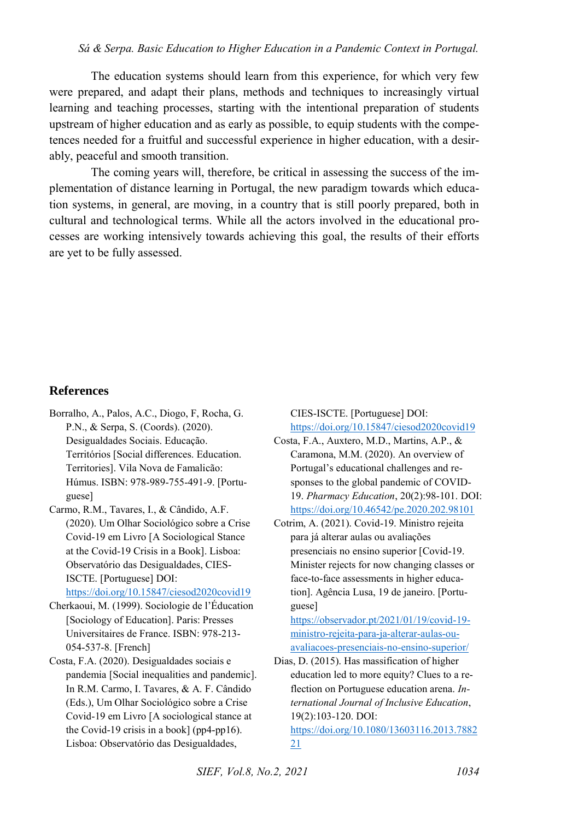#### *Sá & Serpa. Basic Education to Higher Education in a Pandemic Context in Portugal.*

The education systems should learn from this experience, for which very few were prepared, and adapt their plans, methods and techniques to increasingly virtual learning and teaching processes, starting with the intentional preparation of students upstream of higher education and as early as possible, to equip students with the competences needed for a fruitful and successful experience in higher education, with a desirably, peaceful and smooth transition.

The coming years will, therefore, be critical in assessing the success of the implementation of distance learning in Portugal, the new paradigm towards which education systems, in general, are moving, in a country that is still poorly prepared, both in cultural and technological terms. While all the actors involved in the educational processes are working intensively towards achieving this goal, the results of their efforts are yet to be fully assessed.

#### **References**

- Borralho, A., Palos, A.C., Diogo, F, Rocha, G. P.N., & Serpa, S. (Coords). (2020). Desigualdades Sociais. Educação. Territórios [Social differences. Education. Territories]. Vila Nova de Famalicão: Húmus. ISBN: 978-989-755-491-9. [Portuguese]
- Carmo, R.M., Tavares, I., & Cândido, A.F. (2020). Um Olhar Sociológico sobre a Crise Covid-19 em Livro [A Sociological Stance at the Covid-19 Crisis in a Book]. Lisboa: Observatório das Desigualdades, CIES-ISCTE. [Portuguese] DOI:

<https://doi.org/10.15847/ciesod2020covid19>

- Cherkaoui, M. (1999). Sociologie de l'Éducation [Sociology of Education]. Paris: Presses Universitaires de France. ISBN: 978-213- 054-537-8. [French]
- Costa, F.A. (2020). Desigualdades sociais e pandemia [Social inequalities and pandemic]. In R.M. Carmo, I. Tavares, & A. F. Cândido (Eds.), Um Olhar Sociológico sobre a Crise Covid-19 em Livro [A sociological stance at the Covid-19 crisis in a book] (pp4-pp16). Lisboa: Observatório das Desigualdades,

CIES-ISCTE. [Portuguese] DOI: <https://doi.org/10.15847/ciesod2020covid19>

- Costa, F.A., Auxtero, M.D., Martins, A.P., & Caramona, M.M. (2020). An overview of Portugal's educational challenges and responses to the global pandemic of COVID-19. *Pharmacy Education*, 20(2):98-101. DOI: <https://doi.org/10.46542/pe.2020.202.98101>
- Cotrim, A. (2021). Covid-19. Ministro rejeita para já alterar aulas ou avaliações presenciais no ensino superior [Covid-19. Minister rejects for now changing classes or face-to-face assessments in higher education]. Agência Lusa, 19 de janeiro. [Portuguese]

[https://observador.pt/2021/01/19/covid-19](https://observador.pt/2021/01/19/covid-19-ministro-rejeita-para-ja-alterar-aulas-ou-avaliacoes-presenciais-no-ensino-superior/) [ministro-rejeita-para-ja-alterar-aulas-ou](https://observador.pt/2021/01/19/covid-19-ministro-rejeita-para-ja-alterar-aulas-ou-avaliacoes-presenciais-no-ensino-superior/)[avaliacoes-presenciais-no-ensino-superior/](https://observador.pt/2021/01/19/covid-19-ministro-rejeita-para-ja-alterar-aulas-ou-avaliacoes-presenciais-no-ensino-superior/) 

Dias, D. (2015). Has massification of higher education led to more equity? Clues to a reflection on Portuguese education arena. *International Journal of Inclusive Education*, 19(2):103-120. DOI: [https://doi.org/10.1080/13603116.2013.7882](https://doi.org/10.1080/13603116.2013.788221)

[21](https://doi.org/10.1080/13603116.2013.788221)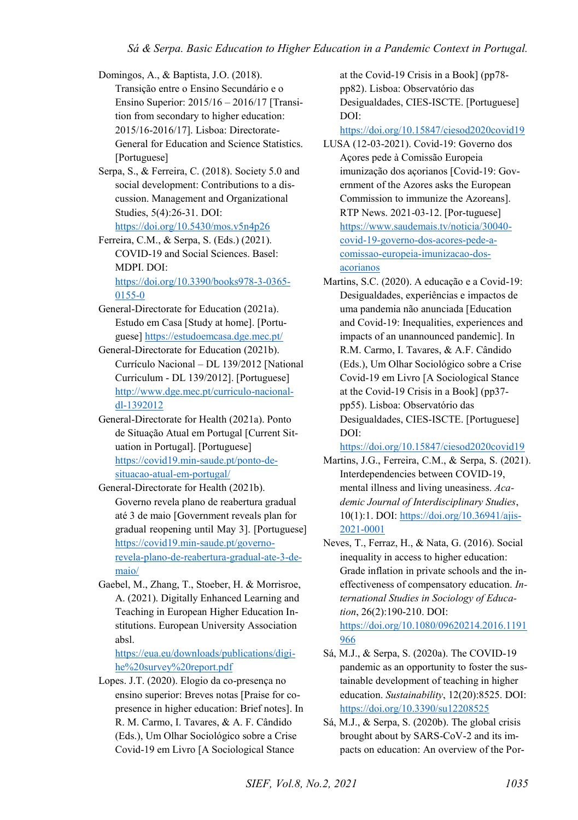Domingos, A., & Baptista, J.O. (2018). Transição entre o Ensino Secundário e o Ensino Superior: 2015/16 – 2016/17 [Transition from secondary to higher education: 2015/16-2016/17]. Lisboa: Directorate-General for Education and Science Statistics. [Portuguese]

Serpa, S., & Ferreira, C. (2018). Society 5.0 and social development: Contributions to a discussion. Management and Organizational Studies, 5(4):26-31. DOI: <https://doi.org/10.5430/mos.v5n4p26>

Ferreira, C.M., & Serpa, S. (Eds.) (2021). COVID-19 and Social Sciences. Basel: MDPI. DOI: [https://doi.org/10.3390/books978-3-0365-](https://doi.org/10.3390/books978-3-0365-0155-0) [0155-0](https://doi.org/10.3390/books978-3-0365-0155-0) 

- General-Directorate for Education (2021a). Estudo em Casa [Study at home]. [Portuguese]<https://estudoemcasa.dge.mec.pt/>
- General-Directorate for Education (2021b). Currículo Nacional – DL 139/2012 [National Curriculum - DL 139/2012]. [Portuguese] [http://www.dge.mec.pt/curriculo-nacional](http://www.dge.mec.pt/curriculo-nacional-dl-1392012)[dl-1392012](http://www.dge.mec.pt/curriculo-nacional-dl-1392012)
- General-Directorate for Health (2021a). Ponto de Situação Atual em Portugal [Current Situation in Portugal]. [Portuguese] [https://covid19.min-saude.pt/ponto-de](https://covid19.min-saude.pt/ponto-de-situacao-atual-em-portugal/)[situacao-atual-em-portugal/](https://covid19.min-saude.pt/ponto-de-situacao-atual-em-portugal/)
- General-Directorate for Health (2021b). Governo revela plano de reabertura gradual até 3 de maio [Government reveals plan for gradual reopening until May 3]. [Portuguese] [https://covid19.min-saude.pt/governo](https://covid19.min-saude.pt/governo-revela-plano-de-reabertura-gradual-ate-3-de-maio/)[revela-plano-de-reabertura-gradual-ate-3-de](https://covid19.min-saude.pt/governo-revela-plano-de-reabertura-gradual-ate-3-de-maio/)[maio/](https://covid19.min-saude.pt/governo-revela-plano-de-reabertura-gradual-ate-3-de-maio/)
- Gaebel, M., Zhang, T., Stoeber, H. & Morrisroe, A. (2021). Digitally Enhanced Learning and Teaching in European Higher Education Institutions. European University Association absl.

[https://eua.eu/downloads/publications/digi](https://eua.eu/downloads/publications/digi-he%20survey%20report.pdf)[he%20survey%20report.pdf](https://eua.eu/downloads/publications/digi-he%20survey%20report.pdf) 

Lopes. J.T. (2020). Elogio da co-presença no ensino superior: Breves notas [Praise for copresence in higher education: Brief notes]. In R. M. Carmo, I. Tavares, & A. F. Cândido (Eds.), Um Olhar Sociológico sobre a Crise Covid-19 em Livro [A Sociological Stance

at the Covid-19 Crisis in a Book] (pp78 pp82). Lisboa: Observatório das Desigualdades, CIES-ISCTE. [Portuguese] DOI:

<https://doi.org/10.15847/ciesod2020covid19>

- LUSA (12-03-2021). Covid-19: Governo dos Açores pede à Comissão Europeia imunização dos açorianos [Covid-19: Government of the Azores asks the European Commission to immunize the Azoreans]. RTP News. 2021-03-12. [Por-tuguese] [https://www.saudemais.tv/noticia/30040](https://www.saudemais.tv/noticia/30040-covid-19-governo-dos-acores-pede-a-comissao-europeia-imunizacao-dos-acorianos) [covid-19-governo-dos-acores-pede-a](https://www.saudemais.tv/noticia/30040-covid-19-governo-dos-acores-pede-a-comissao-europeia-imunizacao-dos-acorianos)[comissao-europeia-imunizacao-dos](https://www.saudemais.tv/noticia/30040-covid-19-governo-dos-acores-pede-a-comissao-europeia-imunizacao-dos-acorianos)[acorianos](https://www.saudemais.tv/noticia/30040-covid-19-governo-dos-acores-pede-a-comissao-europeia-imunizacao-dos-acorianos)
- Martins, S.C. (2020). A educação e a Covid-19: Desigualdades, experiências e impactos de uma pandemia não anunciada [Education and Covid-19: Inequalities, experiences and impacts of an unannounced pandemic]. In R.M. Carmo, I. Tavares, & A.F. Cândido (Eds.), Um Olhar Sociológico sobre a Crise Covid-19 em Livro [A Sociological Stance at the Covid-19 Crisis in a Book] (pp37 pp55). Lisboa: Observatório das Desigualdades, CIES-ISCTE. [Portuguese] DOI:

<https://doi.org/10.15847/ciesod2020covid19>

- Martins, J.G., Ferreira, C.M., & Serpa, S. (2021). Interdependencies between COVID-19, mental illness and living uneasiness. *Academic Journal of Interdisciplinary Studies*, 10(1):1. DOI[: https://doi.org/10.36941/ajis-](https://doi.org/10.36941/ajis-2021-0001)[2021-0001](https://doi.org/10.36941/ajis-2021-0001)
- Neves, T., Ferraz, H., & Nata, G. (2016). Social inequality in access to higher education: Grade inflation in private schools and the ineffectiveness of compensatory education. *International Studies in Sociology of Education*, 26(2):190-210. DOI: [https://doi.org/10.1080/09620214.2016.1191](https://doi.org/10.1080/09620214.2016.1191966) [966](https://doi.org/10.1080/09620214.2016.1191966)
- Sá, M.J., & Serpa, S. (2020a). The COVID-19 pandemic as an opportunity to foster the sustainable development of teaching in higher education. *Sustainability*, 12(20):8525. DOI: <https://doi.org/10.3390/su12208525>
- Sá, M.J., & Serpa, S. (2020b). The global crisis brought about by SARS-CoV-2 and its impacts on education: An overview of the Por-